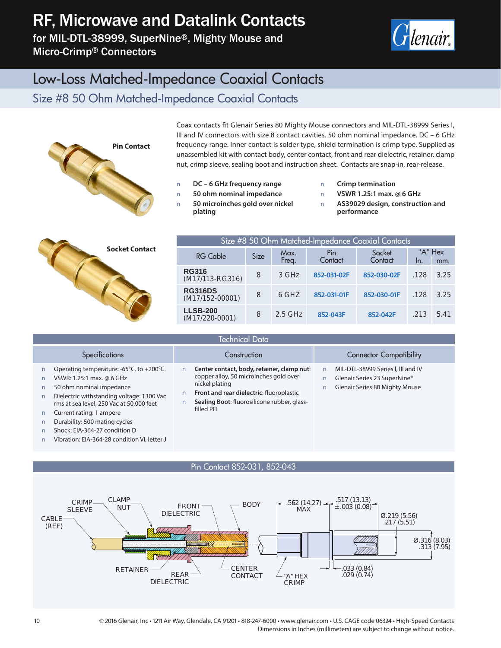# RF, Microwave and Datalink Contacts

for MIL-DTL-38999, SuperNine®, Mighty Mouse and Micro-Crimp® Connectors



## Low-Loss Matched-Impedance Coaxial Contacts

Size #8 50 Ohm Matched-Impedance Coaxial Contacts



Coax contacts fit Glenair Series 80 Mighty Mouse connectors and MIL-DTL-38999 Series I, III and IV connectors with size 8 contact cavities. 50 ohm nominal impedance. DC - 6 GHz frequency range. Inner contact is solder type, shield termination is crimp type. Supplied as unassembled kit with contact body, center contact, front and rear dielectric, retainer, clamp nut, crimp sleeve, sealing boot and instruction sheet. Contacts are snap-in, rear-release.

**Q DC – 6 GHz frequency range Q 50 ohm nominal impedance Q 50 microinches gold over nickel plating**

**Q Crimp termination Q VSWR 1.25:1 max. @ 6 GHz Q AS39029 design, construction and performance**



| Size #8 50 Ohm Matched-Impedance Coaxial Contacts |             |               |                |                   |                |      |
|---------------------------------------------------|-------------|---------------|----------------|-------------------|----------------|------|
| <b>RG Cable</b>                                   | <b>Size</b> | Max.<br>Frea. | Pin<br>Contact | Socket<br>Contact | "A" Hex<br>In. | mm.  |
| <b>RG316</b><br>(M17/113-RG316)                   | 8           | 3 GHz         | 852-031-02F    | 852-030-02F       | .128           | 3.25 |
| <b>RG316DS</b><br>(M17/152-00001)                 | 8           | 6 GHZ         | 852-031-01F    | 852-030-01F       | .128           | 3.25 |
| <b>LLSB-200</b><br>$(M17/220-0001)$               | 8           | $2.5$ GHz     | 852-043F       | 852-042F          | .213           | 5.41 |

| <b>Technical Data</b>                                                                                                                                                                                                                                                                                                                                        |                                                                                                                                                                                                                 |                                                                                                             |  |  |
|--------------------------------------------------------------------------------------------------------------------------------------------------------------------------------------------------------------------------------------------------------------------------------------------------------------------------------------------------------------|-----------------------------------------------------------------------------------------------------------------------------------------------------------------------------------------------------------------|-------------------------------------------------------------------------------------------------------------|--|--|
| <b>Specifications</b>                                                                                                                                                                                                                                                                                                                                        | Construction                                                                                                                                                                                                    | <b>Connector Compatibility</b>                                                                              |  |  |
| Operating temperature: -65 $\degree$ C. to +200 $\degree$ C.<br>VSWR: 1.25:1 max. @ 6 GHz<br>50 ohm nominal impedance<br>Dielectric withstanding voltage: 1300 Vac<br>rms at sea level, 250 Vac at 50,000 feet<br>Current rating: 1 ampere<br>Durability: 500 mating cycles<br>Shock: EIA-364-27 condition D<br>Vibration: EIA-364-28 condition VI, letter J | Center contact, body, retainer, clamp nut:<br>copper alloy, 50 microinches gold over<br>nickel plating<br>Front and rear dielectric: fluoroplastic<br>Sealing Boot: fluorosilicone rubber, glass-<br>filled PEI | MIL-DTL-38999 Series I, III and IV<br>Glenair Series 23 SuperNine®<br><b>Glenair Series 80 Mighty Mouse</b> |  |  |



10 © 2016 Glenair, Inc • 1211 Air Way, Glendale, CA 91201 • 818-247-6000 • www.glenair.com • U.S. CAGE code 06324 • High-Speed Contacts Dimensions in Inches (millimeters) are subject to change without notice.